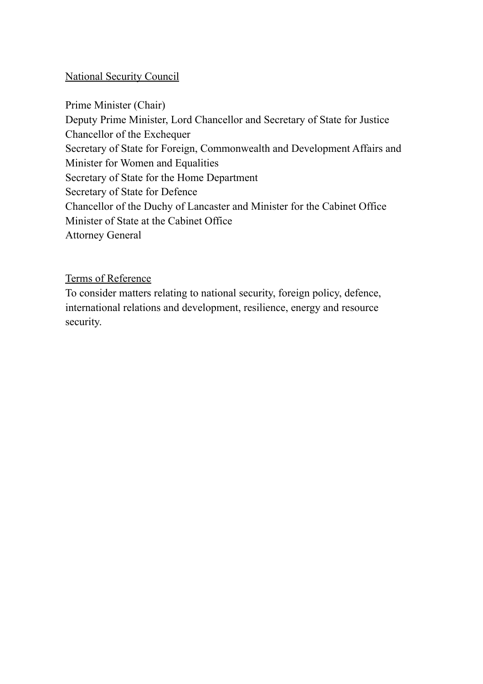# National Security Council

Prime Minister (Chair) Deputy Prime Minister, Lord Chancellor and Secretary of State for Justice Chancellor of the Exchequer Secretary of State for Foreign, Commonwealth and Development Affairs and Minister for Women and Equalities Secretary of State for the Home Department Secretary of State for Defence Chancellor of the Duchy of Lancaster and Minister for the Cabinet Office Minister of State at the Cabinet Office Attorney General

Terms of Reference

To consider matters relating to national security, foreign policy, defence, international relations and development, resilience, energy and resource security.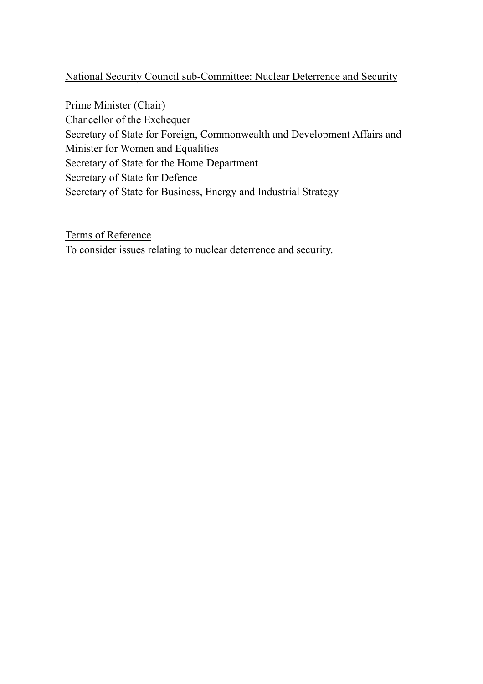# National Security Council sub-Committee: Nuclear Deterrence and Security

Prime Minister (Chair) Chancellor of the Exchequer Secretary of State for Foreign, Commonwealth and Development Affairs and Minister for Women and Equalities Secretary of State for the Home Department Secretary of State for Defence Secretary of State for Business, Energy and Industrial Strategy

Terms of Reference To consider issues relating to nuclear deterrence and security.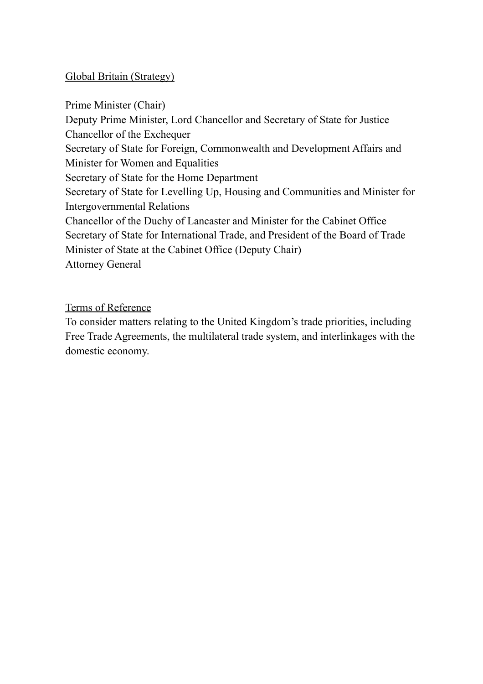# Global Britain (Strategy)

Prime Minister (Chair) Deputy Prime Minister, Lord Chancellor and Secretary of State for Justice Chancellor of the Exchequer Secretary of State for Foreign, Commonwealth and Development Affairs and Minister for Women and Equalities Secretary of State for the Home Department Secretary of State for Levelling Up, Housing and Communities and Minister for Intergovernmental Relations Chancellor of the Duchy of Lancaster and Minister for the Cabinet Office Secretary of State for International Trade, and President of the Board of Trade Minister of State at the Cabinet Office (Deputy Chair) Attorney General

Terms of Reference

To consider matters relating to the United Kingdom's trade priorities, including Free Trade Agreements, the multilateral trade system, and interlinkages with the domestic economy.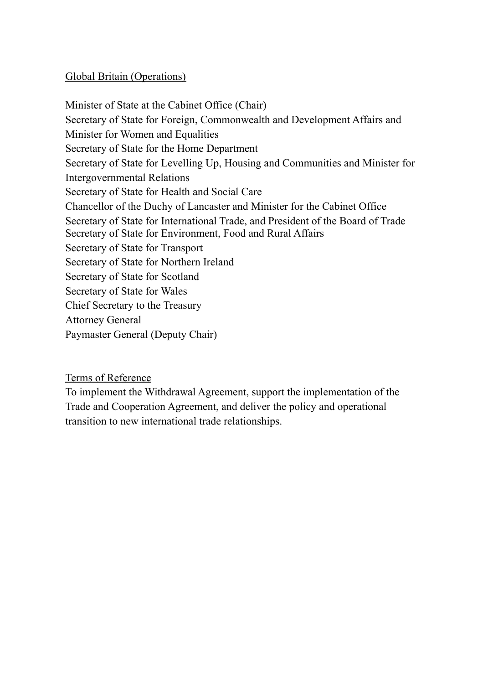# Global Britain (Operations)

Minister of State at the Cabinet Office (Chair) Secretary of State for Foreign, Commonwealth and Development Affairs and Minister for Women and Equalities Secretary of State for the Home Department Secretary of State for Levelling Up, Housing and Communities and Minister for Intergovernmental Relations Secretary of State for Health and Social Care Chancellor of the Duchy of Lancaster and Minister for the Cabinet Office Secretary of State for International Trade, and President of the Board of Trade Secretary of State for Environment, Food and Rural Affairs Secretary of State for Transport Secretary of State for Northern Ireland Secretary of State for Scotland Secretary of State for Wales Chief Secretary to the Treasury Attorney General Paymaster General (Deputy Chair)

Terms of Reference

To implement the Withdrawal Agreement, support the implementation of the Trade and Cooperation Agreement, and deliver the policy and operational transition to new international trade relationships.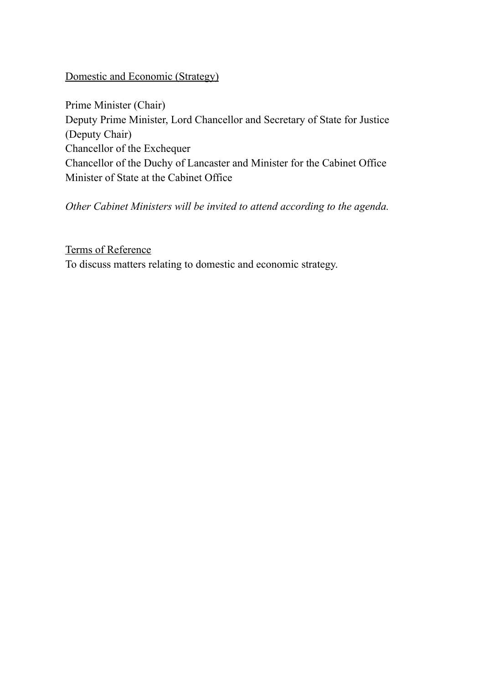## Domestic and Economic (Strategy)

Prime Minister (Chair) Deputy Prime Minister, Lord Chancellor and Secretary of State for Justice (Deputy Chair) Chancellor of the Exchequer Chancellor of the Duchy of Lancaster and Minister for the Cabinet Office Minister of State at the Cabinet Office

*Other Cabinet Ministers will be invited to attend according to the agenda.*

#### Terms of Reference

To discuss matters relating to domestic and economic strategy.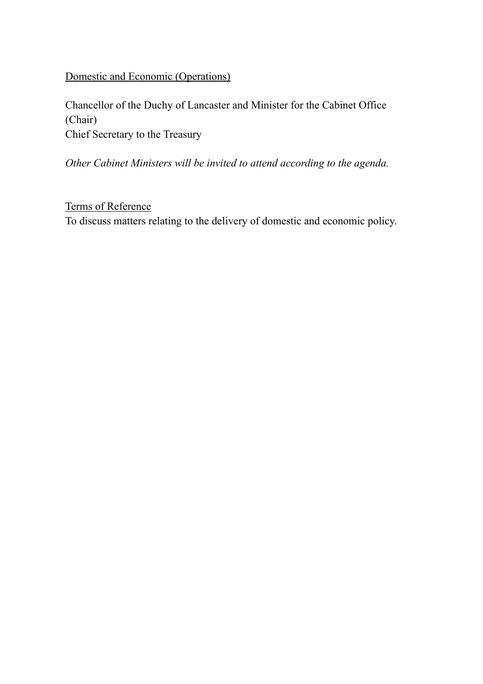# Domestic and Economic (Operations)

Chancellor of the Duchy of Lancaster and Minister for the Cabinet Office (Chair) Chief Secretary to the Treasury

*Other Cabinet Ministers will be invited to attend according to the agenda.*

Terms of Reference To discuss matters relating to the delivery of domestic and economic policy.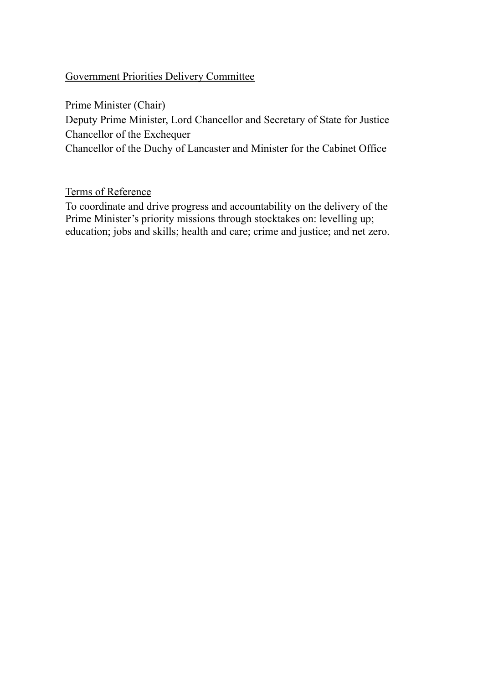# Government Priorities Delivery Committee

Prime Minister (Chair)

Deputy Prime Minister, Lord Chancellor and Secretary of State for Justice Chancellor of the Exchequer

Chancellor of the Duchy of Lancaster and Minister for the Cabinet Office

Terms of Reference

To coordinate and drive progress and accountability on the delivery of the Prime Minister's priority missions through stocktakes on: levelling up; education; jobs and skills; health and care; crime and justice; and net zero.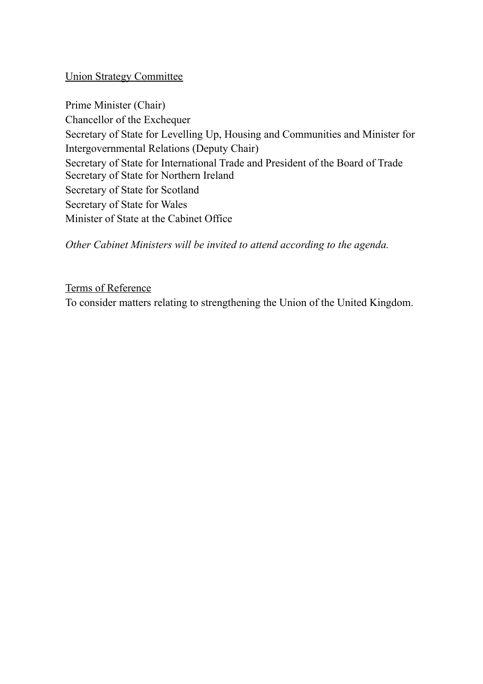# Union Strategy Committee

Prime Minister (Chair) Chancellor of the Exchequer Secretary of State for Levelling Up, Housing and Communities and Minister for Intergovernmental Relations (Deputy Chair) Secretary of State for International Trade and President of the Board of Trade Secretary of State for Northern Ireland Secretary of State for Scotland Secretary of State for Wales Minister of State at the Cabinet Office

*Other Cabinet Ministers will be invited to attend according to the agenda.*

Terms of Reference To consider matters relating to strengthening the Union of the United Kingdom.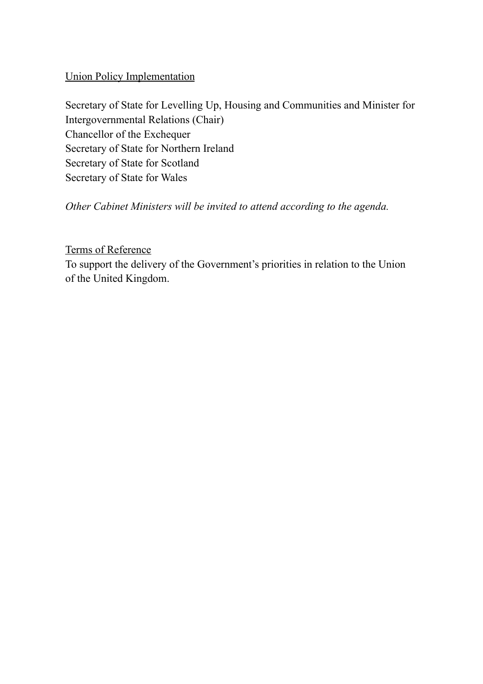# Union Policy Implementation

Secretary of State for Levelling Up, Housing and Communities and Minister for Intergovernmental Relations (Chair) Chancellor of the Exchequer Secretary of State for Northern Ireland Secretary of State for Scotland Secretary of State for Wales

*Other Cabinet Ministers will be invited to attend according to the agenda.*

# Terms of Reference

To support the delivery of the Government's priorities in relation to the Union of the United Kingdom.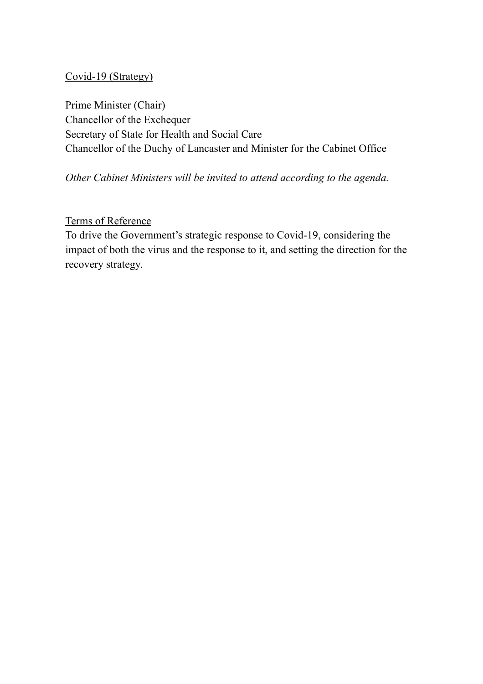# Covid-19 (Strategy)

Prime Minister (Chair) Chancellor of the Exchequer Secretary of State for Health and Social Care Chancellor of the Duchy of Lancaster and Minister for the Cabinet Office

*Other Cabinet Ministers will be invited to attend according to the agenda.*

# Terms of Reference

To drive the Government's strategic response to Covid-19, considering the impact of both the virus and the response to it, and setting the direction for the recovery strategy.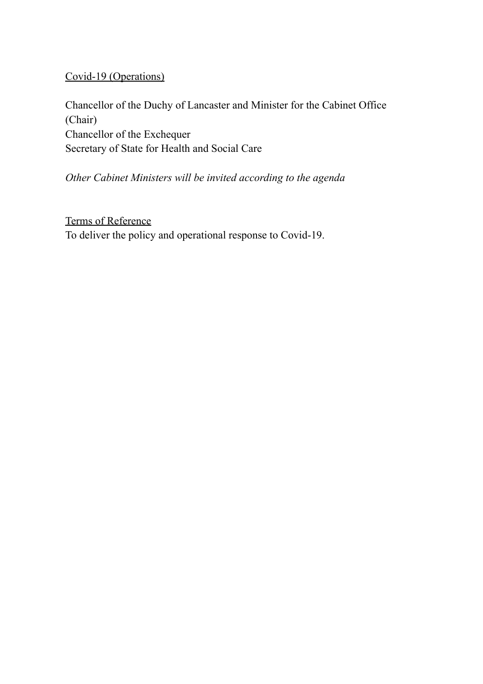Covid-19 (Operations)

Chancellor of the Duchy of Lancaster and Minister for the Cabinet Office (Chair) Chancellor of the Exchequer Secretary of State for Health and Social Care

*Other Cabinet Ministers will be invited according to the agenda*

Terms of Reference To deliver the policy and operational response to Covid-19.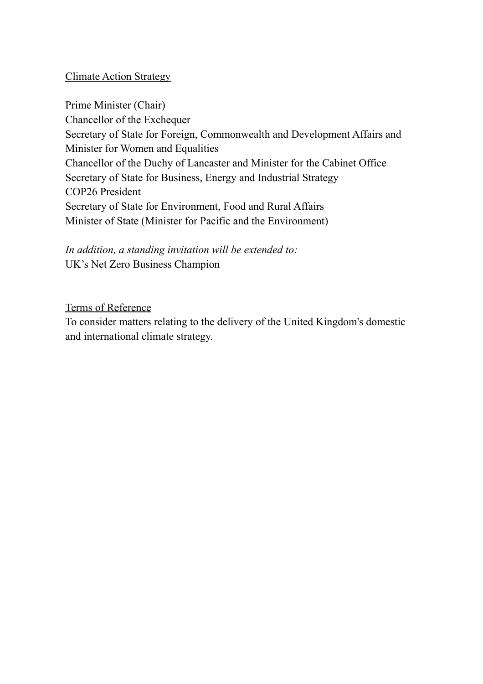# Climate Action Strategy

Prime Minister (Chair) Chancellor of the Exchequer Secretary of State for Foreign, Commonwealth and Development Affairs and Minister for Women and Equalities Chancellor of the Duchy of Lancaster and Minister for the Cabinet Office Secretary of State for Business, Energy and Industrial Strategy COP26 President Secretary of State for Environment, Food and Rural Affairs Minister of State (Minister for Pacific and the Environment)

*In addition, a standing invitation will be extended to:* UK's Net Zero Business Champion

#### Terms of Reference

To consider matters relating to the delivery of the United Kingdom's domestic and international climate strategy.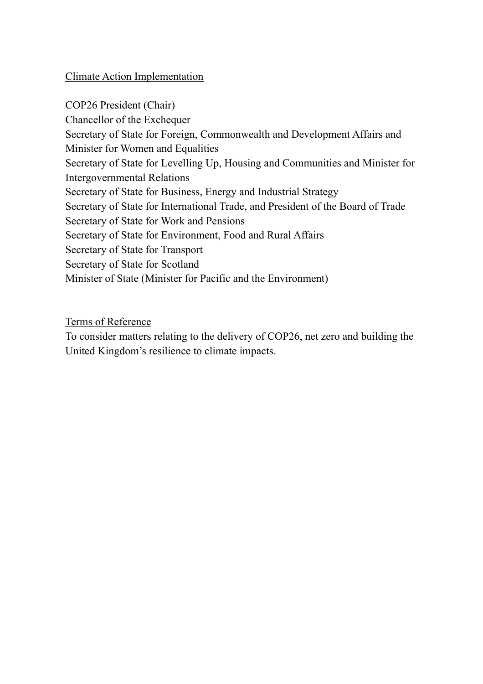# Climate Action Implementation

COP26 President (Chair) Chancellor of the Exchequer Secretary of State for Foreign, Commonwealth and Development Affairs and Minister for Women and Equalities Secretary of State for Levelling Up, Housing and Communities and Minister for Intergovernmental Relations Secretary of State for Business, Energy and Industrial Strategy Secretary of State for International Trade, and President of the Board of Trade Secretary of State for Work and Pensions Secretary of State for Environment, Food and Rural Affairs Secretary of State for Transport Secretary of State for Scotland Minister of State (Minister for Pacific and the Environment)

Terms of Reference

To consider matters relating to the delivery of COP26, net zero and building the United Kingdom's resilience to climate impacts.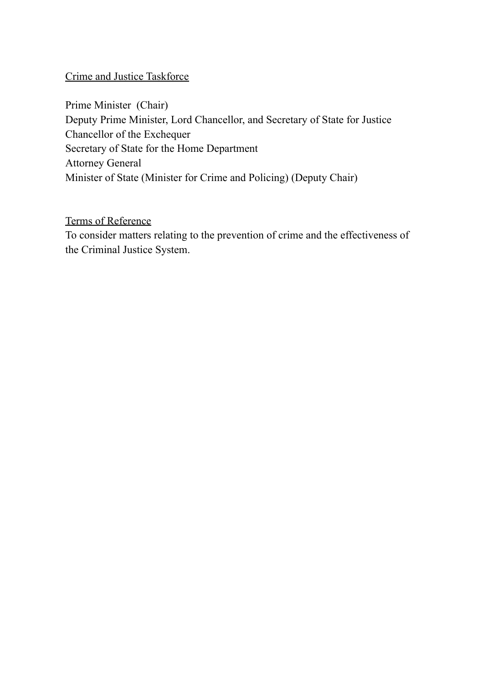## Crime and Justice Taskforce

Prime Minister (Chair) Deputy Prime Minister, Lord Chancellor, and Secretary of State for Justice Chancellor of the Exchequer Secretary of State for the Home Department Attorney General Minister of State (Minister for Crime and Policing) (Deputy Chair)

# Terms of Reference

To consider matters relating to the prevention of crime and the effectiveness of the Criminal Justice System.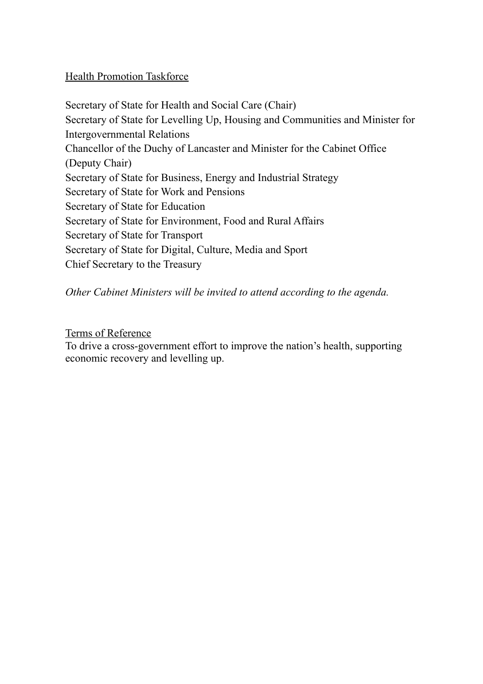# Health Promotion Taskforce

Secretary of State for Health and Social Care (Chair) Secretary of State for Levelling Up, Housing and Communities and Minister for Intergovernmental Relations Chancellor of the Duchy of Lancaster and Minister for the Cabinet Office (Deputy Chair) Secretary of State for Business, Energy and Industrial Strategy Secretary of State for Work and Pensions Secretary of State for Education Secretary of State for Environment, Food and Rural Affairs Secretary of State for Transport Secretary of State for Digital, Culture, Media and Sport Chief Secretary to the Treasury

*Other Cabinet Ministers will be invited to attend according to the agenda.*

# Terms of Reference

To drive a cross-government effort to improve the nation's health, supporting economic recovery and levelling up.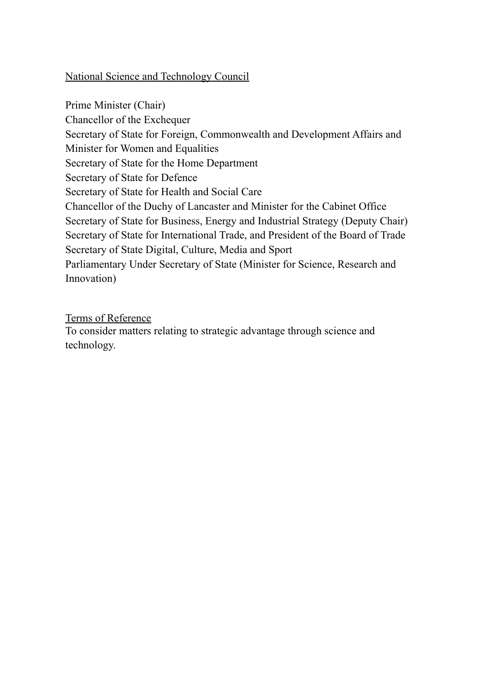# National Science and Technology Council

Prime Minister (Chair) Chancellor of the Exchequer Secretary of State for Foreign, Commonwealth and Development Affairs and Minister for Women and Equalities Secretary of State for the Home Department Secretary of State for Defence Secretary of State for Health and Social Care Chancellor of the Duchy of Lancaster and Minister for the Cabinet Office Secretary of State for Business, Energy and Industrial Strategy (Deputy Chair) Secretary of State for International Trade, and President of the Board of Trade Secretary of State Digital, Culture, Media and Sport Parliamentary Under Secretary of State (Minister for Science, Research and Innovation)

### Terms of Reference

To consider matters relating to strategic advantage through science and technology.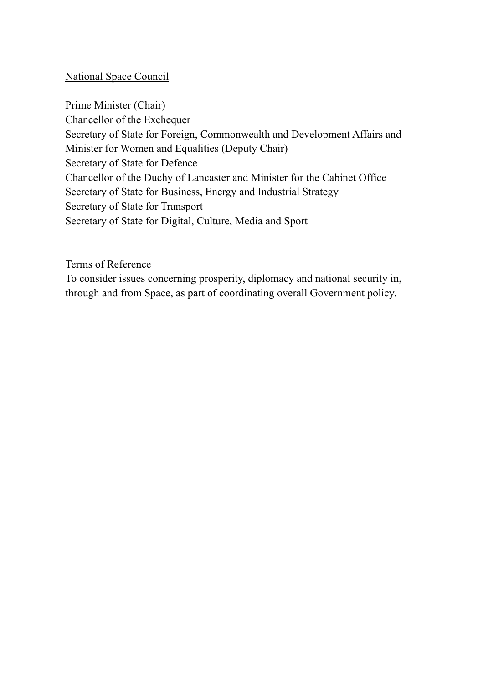## National Space Council

Prime Minister (Chair) Chancellor of the Exchequer Secretary of State for Foreign, Commonwealth and Development Affairs and Minister for Women and Equalities (Deputy Chair) Secretary of State for Defence Chancellor of the Duchy of Lancaster and Minister for the Cabinet Office Secretary of State for Business, Energy and Industrial Strategy Secretary of State for Transport Secretary of State for Digital, Culture, Media and Sport

Terms of Reference

To consider issues concerning prosperity, diplomacy and national security in, through and from Space, as part of coordinating overall Government policy.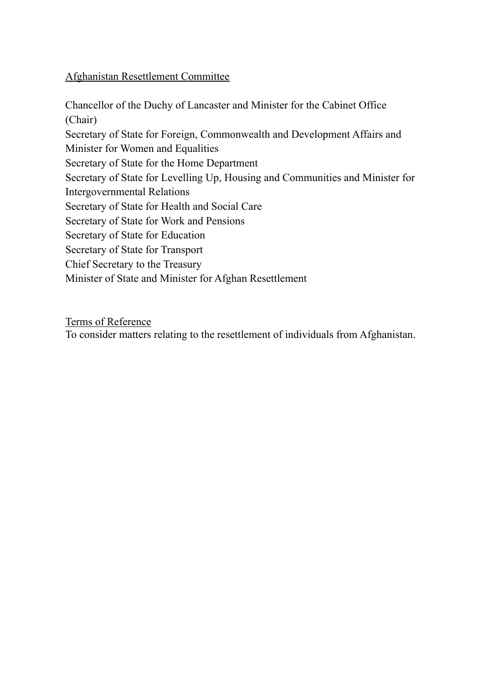# Afghanistan Resettlement Committee

Chancellor of the Duchy of Lancaster and Minister for the Cabinet Office (Chair) Secretary of State for Foreign, Commonwealth and Development Affairs and Minister for Women and Equalities Secretary of State for the Home Department Secretary of State for Levelling Up, Housing and Communities and Minister for Intergovernmental Relations Secretary of State for Health and Social Care Secretary of State for Work and Pensions Secretary of State for Education Secretary of State for Transport Chief Secretary to the Treasury Minister of State and Minister for Afghan Resettlement

Terms of Reference

To consider matters relating to the resettlement of individuals from Afghanistan.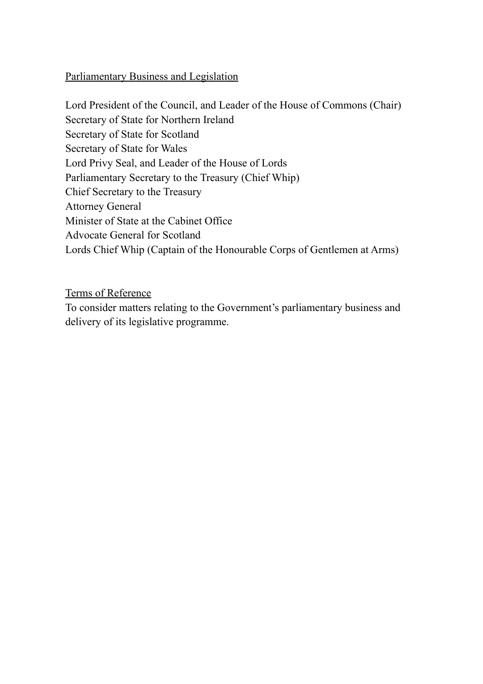# Parliamentary Business and Legislation

Lord President of the Council, and Leader of the House of Commons (Chair) Secretary of State for Northern Ireland Secretary of State for Scotland Secretary of State for Wales Lord Privy Seal, and Leader of the House of Lords Parliamentary Secretary to the Treasury (Chief Whip) Chief Secretary to the Treasury Attorney General Minister of State at the Cabinet Office Advocate General for Scotland Lords Chief Whip (Captain of the Honourable Corps of Gentlemen at Arms)

Terms of Reference

To consider matters relating to the Government's parliamentary business and delivery of its legislative programme.